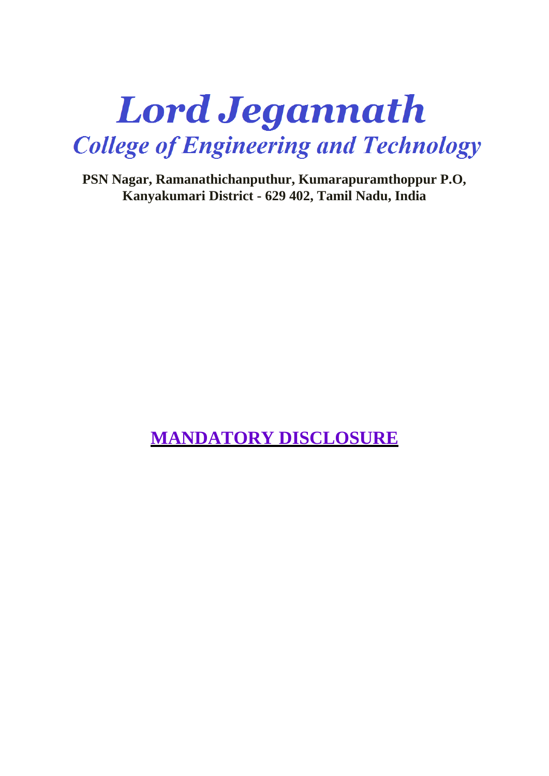# **Lord Jegannath College of Engineering and Technology**

**PSN Nagar, Ramanathichanputhur, Kumarapuramthoppur P.O, Kanyakumari District - 629 402, Tamil Nadu, India**

**MANDATORY DISCLOSURE**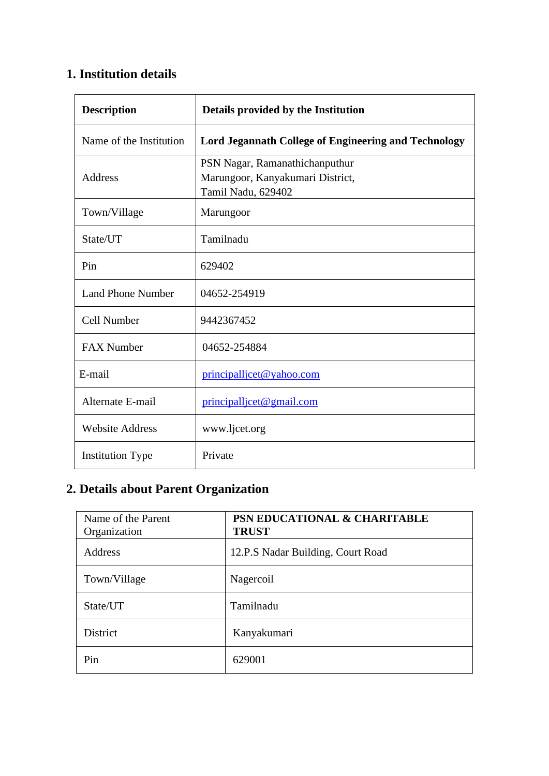## **1. Institution details**

| <b>Description</b>       | Details provided by the Institution                                                      |  |  |  |
|--------------------------|------------------------------------------------------------------------------------------|--|--|--|
| Name of the Institution  | <b>Lord Jegannath College of Engineering and Technology</b>                              |  |  |  |
| Address                  | PSN Nagar, Ramanathichanputhur<br>Marungoor, Kanyakumari District,<br>Tamil Nadu, 629402 |  |  |  |
| Town/Village             | Marungoor                                                                                |  |  |  |
| State/UT                 | Tamilnadu                                                                                |  |  |  |
| Pin                      | 629402                                                                                   |  |  |  |
| <b>Land Phone Number</b> | 04652-254919                                                                             |  |  |  |
| Cell Number              | 9442367452                                                                               |  |  |  |
| <b>FAX Number</b>        | 04652-254884                                                                             |  |  |  |
| E-mail                   | principallicet@yahoo.com                                                                 |  |  |  |
| Alternate E-mail         | principallicet@gmail.com                                                                 |  |  |  |
| <b>Website Address</b>   | www.ljcet.org                                                                            |  |  |  |
| <b>Institution Type</b>  | Private                                                                                  |  |  |  |

## **2. Details about Parent Organization**

| Name of the Parent<br>Organization | PSN EDUCATIONAL & CHARITABLE<br><b>TRUST</b> |
|------------------------------------|----------------------------------------------|
| <b>Address</b>                     | 12.P.S Nadar Building, Court Road            |
| Town/Village                       | Nagercoil                                    |
| State/UT                           | Tamilnadu                                    |
| <b>District</b>                    | Kanyakumari                                  |
| Pin                                | 629001                                       |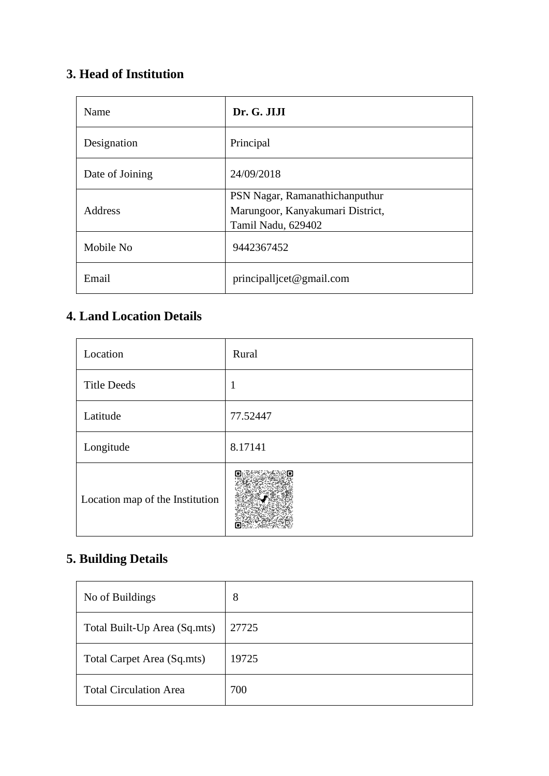# **3. Head of Institution**

| Name            | Dr. G. JIJI                                                                              |
|-----------------|------------------------------------------------------------------------------------------|
| Designation     | Principal                                                                                |
| Date of Joining | 24/09/2018                                                                               |
| Address         | PSN Nagar, Ramanathichanputhur<br>Marungoor, Kanyakumari District,<br>Tamil Nadu, 629402 |
| Mobile No       | 9442367452                                                                               |
| Email           | principallicet@gmail.com                                                                 |

#### **4. Land Location Details**

| Location                        | Rural    |
|---------------------------------|----------|
| <b>Title Deeds</b>              | 1        |
| Latitude                        | 77.52447 |
| Longitude                       | 8.17141  |
| Location map of the Institution |          |

#### **5. Building Details**

| No of Buildings               | 8     |
|-------------------------------|-------|
| Total Built-Up Area (Sq.mts)  | 27725 |
| Total Carpet Area (Sq.mts)    | 19725 |
| <b>Total Circulation Area</b> | 700   |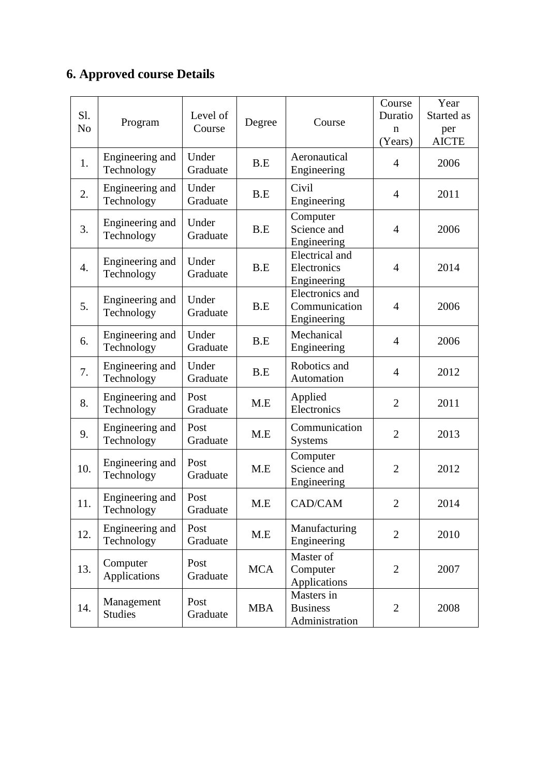# **6. Approved course Details**

| Sl.<br>N <sub>o</sub> | Program                       | Level of<br>Course | Degree     | Course                                          | Course<br>Duratio<br>$\mathbf n$<br>(Years) | Year<br>Started as<br>per<br><b>AICTE</b> |
|-----------------------|-------------------------------|--------------------|------------|-------------------------------------------------|---------------------------------------------|-------------------------------------------|
| 1.                    | Engineering and<br>Technology | Under<br>Graduate  | B.E        | Aeronautical<br>Engineering                     | $\overline{4}$                              | 2006                                      |
| 2.                    | Engineering and<br>Technology | Under<br>Graduate  | B.E        | Civil<br>Engineering                            | $\overline{4}$                              | 2011                                      |
| 3.                    | Engineering and<br>Technology | Under<br>Graduate  | B.E        | Computer<br>Science and<br>Engineering          | $\overline{4}$                              | 2006                                      |
| 4.                    | Engineering and<br>Technology | Under<br>Graduate  | B.E        | Electrical and<br>Electronics<br>Engineering    | $\overline{4}$                              | 2014                                      |
| 5.                    | Engineering and<br>Technology | Under<br>Graduate  | B.E        | Electronics and<br>Communication<br>Engineering | $\overline{4}$                              | 2006                                      |
| 6.                    | Engineering and<br>Technology | Under<br>Graduate  | B.E        | Mechanical<br>Engineering                       | $\overline{4}$                              | 2006                                      |
| 7.                    | Engineering and<br>Technology | Under<br>Graduate  | B.E        | Robotics and<br>Automation                      | $\overline{4}$                              | 2012                                      |
| 8.                    | Engineering and<br>Technology | Post<br>Graduate   | M.E        | Applied<br>Electronics                          | $\overline{2}$                              | 2011                                      |
| 9.                    | Engineering and<br>Technology | Post<br>Graduate   | M.E        | Communication<br><b>Systems</b>                 | $\overline{2}$                              | 2013                                      |
| 10.                   | Engineering and<br>Technology | Post<br>Graduate   | M.E        | Computer<br>Science and<br>Engineering          | $\overline{2}$                              | 2012                                      |
| 11.                   | Engineering and<br>Technology | Post<br>Graduate   | M.E        | CAD/CAM                                         | $\overline{2}$                              | 2014                                      |
| 12.                   | Engineering and<br>Technology | Post<br>Graduate   | M.E        | Manufacturing<br>Engineering                    | $\overline{2}$                              | 2010                                      |
| 13.                   | Computer<br>Applications      | Post<br>Graduate   | <b>MCA</b> | Master of<br>Computer<br>Applications           | $\overline{2}$                              | 2007                                      |
| 14.                   | Management<br><b>Studies</b>  | Post<br>Graduate   | <b>MBA</b> | Masters in<br><b>Business</b><br>Administration | $\overline{2}$                              | 2008                                      |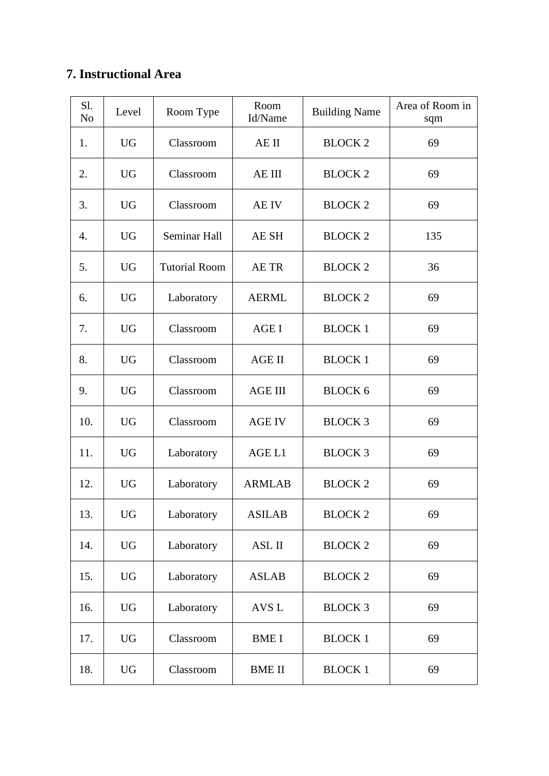# **7. Instructional Area**

| Sl.<br>N <sub>o</sub> | Level     | Room Type            | Room<br>Id/Name  | <b>Building Name</b> | Area of Room in<br>sqm |
|-----------------------|-----------|----------------------|------------------|----------------------|------------------------|
| 1.                    | <b>UG</b> | Classroom            | AE II            | <b>BLOCK 2</b>       | 69                     |
| 2.                    | <b>UG</b> | Classroom            | AE III           | <b>BLOCK 2</b>       | 69                     |
| 3.                    | <b>UG</b> | Classroom            | AE IV            | <b>BLOCK 2</b>       | 69                     |
| 4.                    | <b>UG</b> | Seminar Hall         | AE SH            | <b>BLOCK 2</b>       | 135                    |
| 5.                    | <b>UG</b> | <b>Tutorial Room</b> | AE TR            | <b>BLOCK 2</b>       | 36                     |
| 6.                    | <b>UG</b> | Laboratory           | <b>AERML</b>     | <b>BLOCK 2</b>       | 69                     |
| 7.                    | <b>UG</b> | Classroom            | <b>AGE I</b>     | <b>BLOCK 1</b>       | 69                     |
| 8.                    | <b>UG</b> | Classroom            | <b>AGE II</b>    | <b>BLOCK 1</b>       | 69                     |
| 9.                    | <b>UG</b> | Classroom            | <b>AGE III</b>   | <b>BLOCK 6</b>       | 69                     |
| 10.                   | <b>UG</b> | Classroom            | <b>AGE IV</b>    | <b>BLOCK 3</b>       | 69                     |
| 11.                   | <b>UG</b> | Laboratory           | AGE L1           | <b>BLOCK 3</b>       | 69                     |
| 12.                   | <b>UG</b> | Laboratory           | <b>ARMLAB</b>    | <b>BLOCK 2</b>       | 69                     |
| 13.                   | <b>UG</b> | Laboratory           | <b>ASILAB</b>    | <b>BLOCK 2</b>       | 69                     |
| 14.                   | UG        | Laboratory           | ASL II           | <b>BLOCK 2</b>       | 69                     |
| 15.                   | UG        | Laboratory           | <b>ASLAB</b>     | <b>BLOCK 2</b>       | 69                     |
| 16.                   | <b>UG</b> | Laboratory           | AVS <sub>L</sub> | <b>BLOCK 3</b>       | 69                     |
| 17.                   | <b>UG</b> | Classroom            | <b>BME I</b>     | <b>BLOCK 1</b>       | 69                     |
| 18.                   | UG        | Classroom            | <b>BME II</b>    | <b>BLOCK 1</b>       | 69                     |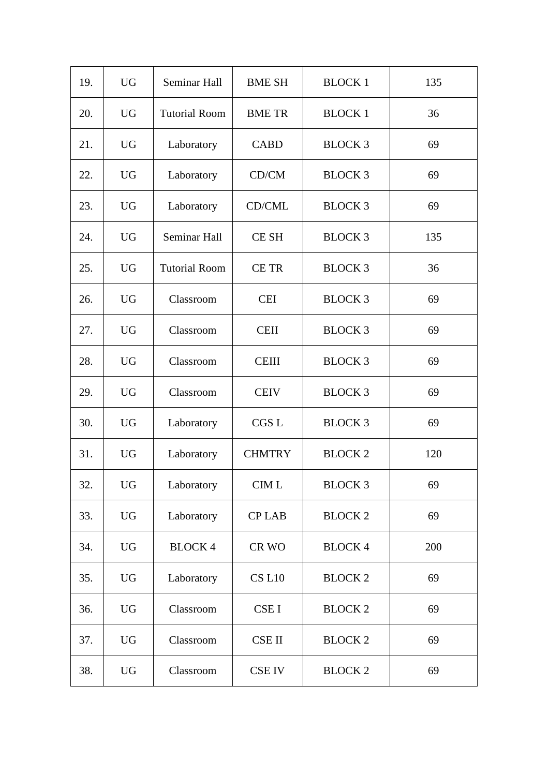| 19. | <b>UG</b> | Seminar Hall         | <b>BME SH</b>    | <b>BLOCK 1</b> | 135 |
|-----|-----------|----------------------|------------------|----------------|-----|
| 20. | <b>UG</b> | <b>Tutorial Room</b> | <b>BME TR</b>    | <b>BLOCK 1</b> | 36  |
| 21. | <b>UG</b> | Laboratory           | <b>CABD</b>      | <b>BLOCK 3</b> | 69  |
| 22. | <b>UG</b> | Laboratory           | CD/CM            | <b>BLOCK 3</b> | 69  |
| 23. | <b>UG</b> | Laboratory           | CD/CML           | <b>BLOCK 3</b> | 69  |
| 24. | <b>UG</b> | Seminar Hall         | <b>CESH</b>      | <b>BLOCK 3</b> | 135 |
| 25. | <b>UG</b> | <b>Tutorial Room</b> | <b>CETR</b>      | <b>BLOCK 3</b> | 36  |
| 26. | <b>UG</b> | Classroom            | <b>CEI</b>       | <b>BLOCK 3</b> | 69  |
| 27. | <b>UG</b> | Classroom            | <b>CEII</b>      | <b>BLOCK 3</b> | 69  |
| 28. | <b>UG</b> | Classroom            | <b>CEIII</b>     | <b>BLOCK 3</b> | 69  |
| 29. | <b>UG</b> | Classroom            | <b>CEIV</b>      | <b>BLOCK 3</b> | 69  |
| 30. | <b>UG</b> | Laboratory           | CGS <sub>L</sub> | <b>BLOCK 3</b> | 69  |
| 31. | <b>UG</b> | Laboratory           | <b>CHMTRY</b>    | <b>BLOCK 2</b> | 120 |
| 32. | <b>UG</b> | Laboratory           | CIM L            | <b>BLOCK 3</b> | 69  |
| 33. | <b>UG</b> | Laboratory           | <b>CPLAB</b>     | <b>BLOCK 2</b> | 69  |
| 34. | <b>UG</b> | <b>BLOCK 4</b>       | CR WO            | <b>BLOCK 4</b> | 200 |
| 35. | <b>UG</b> | Laboratory           | <b>CS L10</b>    | <b>BLOCK 2</b> | 69  |
| 36. | <b>UG</b> | Classroom            | <b>CSEI</b>      | <b>BLOCK 2</b> | 69  |
| 37. | <b>UG</b> | Classroom            | <b>CSE II</b>    | <b>BLOCK 2</b> | 69  |
| 38. | <b>UG</b> | Classroom            | <b>CSE IV</b>    | <b>BLOCK 2</b> | 69  |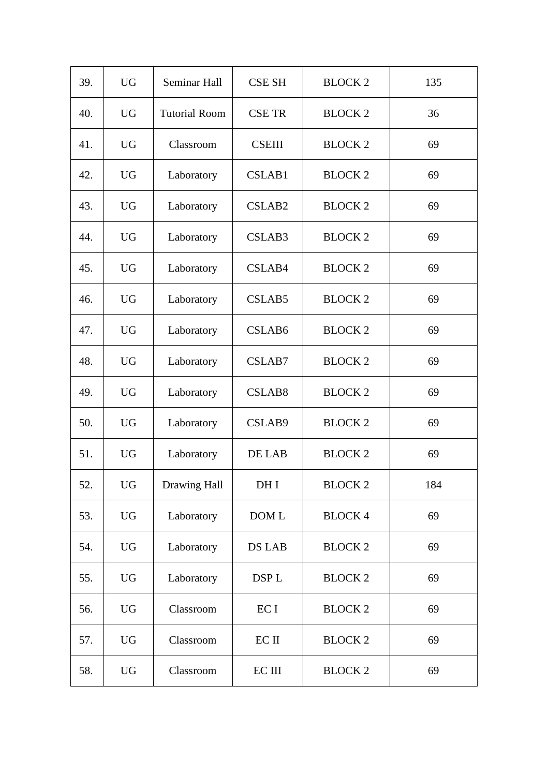| 39. | <b>UG</b> | Seminar Hall         | <b>CSE SH</b>      | <b>BLOCK 2</b> | 135 |
|-----|-----------|----------------------|--------------------|----------------|-----|
| 40. | <b>UG</b> | <b>Tutorial Room</b> | <b>CSE TR</b>      | <b>BLOCK 2</b> | 36  |
| 41. | <b>UG</b> | Classroom            | <b>CSEIII</b>      | <b>BLOCK 2</b> | 69  |
| 42. | <b>UG</b> | Laboratory           | CSLAB1             | <b>BLOCK 2</b> | 69  |
| 43. | <b>UG</b> | Laboratory           | CSLAB <sub>2</sub> | <b>BLOCK 2</b> | 69  |
| 44. | <b>UG</b> | Laboratory           | CSLAB3             | <b>BLOCK 2</b> | 69  |
| 45. | <b>UG</b> | Laboratory           | CSLAB4             | <b>BLOCK 2</b> | 69  |
| 46. | <b>UG</b> | Laboratory           | CSLAB5             | <b>BLOCK 2</b> | 69  |
| 47. | <b>UG</b> | Laboratory           | CSLAB6             | <b>BLOCK 2</b> | 69  |
| 48. | <b>UG</b> | Laboratory           | CSLAB7             | <b>BLOCK 2</b> | 69  |
| 49. | <b>UG</b> | Laboratory           | CSLAB <sub>8</sub> | <b>BLOCK 2</b> | 69  |
| 50. | <b>UG</b> | Laboratory           | CSLAB9             | <b>BLOCK 2</b> | 69  |
| 51. | <b>UG</b> | Laboratory           | DE LAB             | <b>BLOCK 2</b> | 69  |
| 52. | <b>UG</b> | Drawing Hall         | DH I               | <b>BLOCK 2</b> | 184 |
| 53. | <b>UG</b> | Laboratory           | DOM L              | <b>BLOCK 4</b> | 69  |
| 54. | <b>UG</b> | Laboratory           | DS LAB             | <b>BLOCK 2</b> | 69  |
| 55. | <b>UG</b> | Laboratory           | DSP <sub>L</sub>   | <b>BLOCK 2</b> | 69  |
| 56. | <b>UG</b> | Classroom            | EC I               | <b>BLOCK 2</b> | 69  |
| 57. | <b>UG</b> | Classroom            | EC II              | <b>BLOCK 2</b> | 69  |
| 58. | <b>UG</b> | Classroom            | $EC$ III           | <b>BLOCK 2</b> | 69  |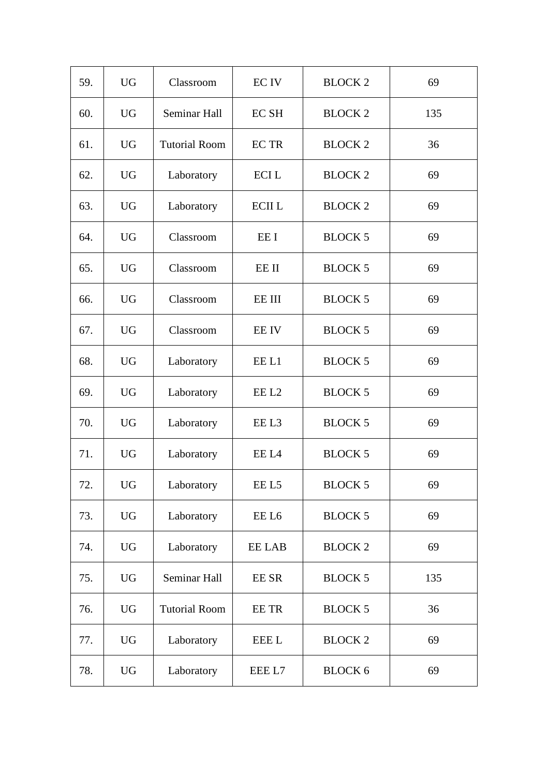| 59. | <b>UG</b> | Classroom            | <b>EC IV</b>      | <b>BLOCK 2</b> | 69  |
|-----|-----------|----------------------|-------------------|----------------|-----|
| 60. | <b>UG</b> | Seminar Hall         | <b>ECSH</b>       | <b>BLOCK 2</b> | 135 |
| 61. | <b>UG</b> | <b>Tutorial Room</b> | <b>ECTR</b>       | <b>BLOCK 2</b> | 36  |
| 62. | <b>UG</b> | Laboratory           | <b>ECIL</b>       | <b>BLOCK 2</b> | 69  |
| 63. | <b>UG</b> | Laboratory           | <b>ECII L</b>     | <b>BLOCK 2</b> | 69  |
| 64. | <b>UG</b> | Classroom            | EE I              | <b>BLOCK 5</b> | 69  |
| 65. | <b>UG</b> | Classroom            | EE II             | <b>BLOCK 5</b> | 69  |
| 66. | <b>UG</b> | Classroom            | EE III            | <b>BLOCK 5</b> | 69  |
| 67. | <b>UG</b> | Classroom            | <b>EE IV</b>      | <b>BLOCK 5</b> | 69  |
| 68. | <b>UG</b> | Laboratory           | EE <sub>L1</sub>  | <b>BLOCK 5</b> | 69  |
| 69. | <b>UG</b> | Laboratory           | EE <sub>L2</sub>  | <b>BLOCK 5</b> | 69  |
| 70. | <b>UG</b> | Laboratory           | EE L3             | <b>BLOCK 5</b> | 69  |
| 71. | <b>UG</b> | Laboratory           | EE L <sub>4</sub> | <b>BLOCK 5</b> | 69  |
| 72. | <b>UG</b> | Laboratory           | EE L5             | <b>BLOCK 5</b> | 69  |
| 73. | <b>UG</b> | Laboratory           | EE L6             | <b>BLOCK 5</b> | 69  |
| 74. | <b>UG</b> | Laboratory           | EE LAB            | <b>BLOCK 2</b> | 69  |
| 75. | UG        | Seminar Hall         | EE SR             | <b>BLOCK 5</b> | 135 |
| 76. | <b>UG</b> | <b>Tutorial Room</b> | <b>EETR</b>       | <b>BLOCK 5</b> | 36  |
| 77. | <b>UG</b> | Laboratory           | <b>EEE L</b>      | <b>BLOCK 2</b> | 69  |
| 78. | <b>UG</b> | Laboratory           | EEE L7            | <b>BLOCK 6</b> | 69  |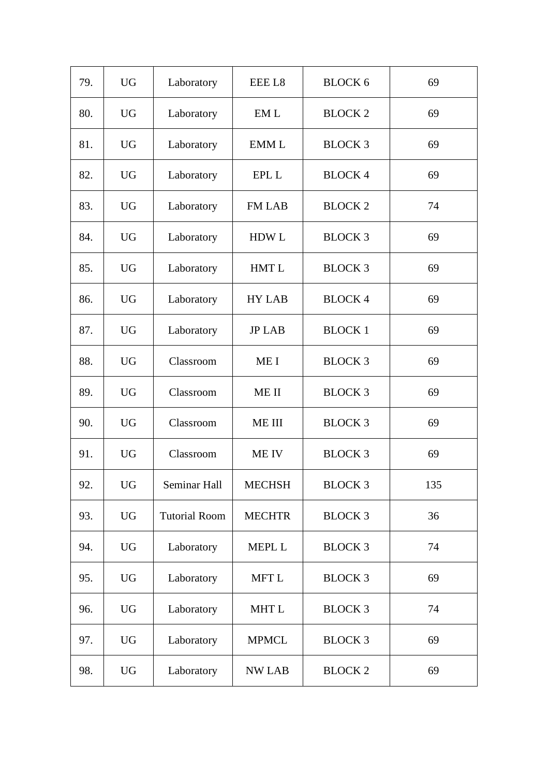| 79. | <b>UG</b> | Laboratory           | EEE L8        | <b>BLOCK 6</b> | 69  |
|-----|-----------|----------------------|---------------|----------------|-----|
| 80. | <b>UG</b> | Laboratory           | EM L          | <b>BLOCK 2</b> | 69  |
| 81. | <b>UG</b> | Laboratory           | <b>EMM L</b>  | <b>BLOCK 3</b> | 69  |
| 82. | <b>UG</b> | Laboratory           | <b>EPL L</b>  | <b>BLOCK4</b>  | 69  |
| 83. | <b>UG</b> | Laboratory           | <b>FM LAB</b> | <b>BLOCK 2</b> | 74  |
| 84. | <b>UG</b> | Laboratory           | <b>HDWL</b>   | <b>BLOCK 3</b> | 69  |
| 85. | <b>UG</b> | Laboratory           | HMT L         | <b>BLOCK 3</b> | 69  |
| 86. | <b>UG</b> | Laboratory           | <b>HY LAB</b> | <b>BLOCK4</b>  | 69  |
| 87. | <b>UG</b> | Laboratory           | <b>JP LAB</b> | <b>BLOCK 1</b> | 69  |
| 88. | <b>UG</b> | Classroom            | ME I          | <b>BLOCK 3</b> | 69  |
| 89. | <b>UG</b> | Classroom            | ME II         | <b>BLOCK 3</b> | 69  |
| 90. | <b>UG</b> | Classroom            | ME III        | <b>BLOCK 3</b> | 69  |
| 91. | <b>UG</b> | Classroom            | <b>MEIV</b>   | <b>BLOCK 3</b> | 69  |
| 92. | <b>UG</b> | Seminar Hall         | <b>MECHSH</b> | <b>BLOCK 3</b> | 135 |
| 93. | <b>UG</b> | <b>Tutorial Room</b> | <b>MECHTR</b> | <b>BLOCK 3</b> | 36  |
| 94. | <b>UG</b> | Laboratory           | <b>MEPL L</b> | <b>BLOCK 3</b> | 74  |
| 95. | <b>UG</b> | Laboratory           | MFT L         | <b>BLOCK 3</b> | 69  |
| 96. | <b>UG</b> | Laboratory           | MHT L         | <b>BLOCK 3</b> | 74  |
| 97. | <b>UG</b> | Laboratory           | <b>MPMCL</b>  | <b>BLOCK 3</b> | 69  |
| 98. | <b>UG</b> | Laboratory           | <b>NW LAB</b> | <b>BLOCK 2</b> | 69  |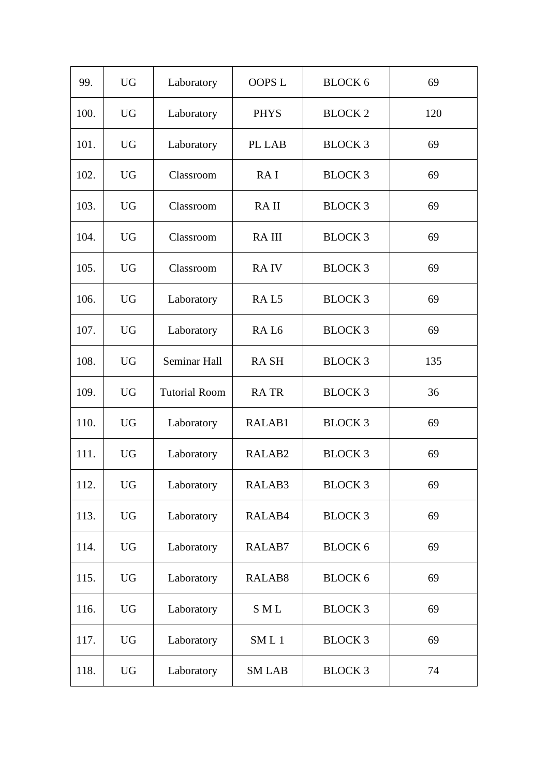| 99.  | <b>UG</b> | Laboratory           | <b>OOPS L</b>      | <b>BLOCK 6</b> | 69  |
|------|-----------|----------------------|--------------------|----------------|-----|
| 100. | <b>UG</b> | Laboratory           | <b>PHYS</b>        | <b>BLOCK 2</b> | 120 |
| 101. | <b>UG</b> | Laboratory           | PL LAB             | <b>BLOCK 3</b> | 69  |
| 102. | <b>UG</b> | Classroom            | RA <sub>I</sub>    | <b>BLOCK 3</b> | 69  |
| 103. | <b>UG</b> | Classroom            | <b>RAII</b>        | <b>BLOCK 3</b> | 69  |
| 104. | <b>UG</b> | Classroom            | <b>RAIII</b>       | <b>BLOCK 3</b> | 69  |
| 105. | <b>UG</b> | Classroom            | <b>RAIV</b>        | <b>BLOCK 3</b> | 69  |
| 106. | <b>UG</b> | Laboratory           | RAL <sub>5</sub>   | <b>BLOCK 3</b> | 69  |
| 107. | <b>UG</b> | Laboratory           | RA <sub>L6</sub>   | <b>BLOCK 3</b> | 69  |
| 108. | <b>UG</b> | Seminar Hall         | <b>RASH</b>        | <b>BLOCK 3</b> | 135 |
| 109. | <b>UG</b> | <b>Tutorial Room</b> | <b>RATR</b>        | <b>BLOCK 3</b> | 36  |
| 110. | <b>UG</b> | Laboratory           | RALAB1             | <b>BLOCK 3</b> | 69  |
| 111. | <b>UG</b> | Laboratory           | RALAB2             | <b>BLOCK 3</b> | 69  |
| 112. | <b>UG</b> | Laboratory           | RALAB3             | <b>BLOCK 3</b> | 69  |
| 113. | <b>UG</b> | Laboratory           | RALAB4             | <b>BLOCK 3</b> | 69  |
| 114. | <b>UG</b> | Laboratory           | RALAB7             | <b>BLOCK 6</b> | 69  |
| 115. | <b>UG</b> | Laboratory           | RALAB <sub>8</sub> | <b>BLOCK 6</b> | 69  |
| 116. | <b>UG</b> | Laboratory           | <b>SML</b>         | <b>BLOCK 3</b> | 69  |
| 117. | <b>UG</b> | Laboratory           | SML1               | <b>BLOCK 3</b> | 69  |
| 118. | <b>UG</b> | Laboratory           | <b>SM LAB</b>      | <b>BLOCK 3</b> | 74  |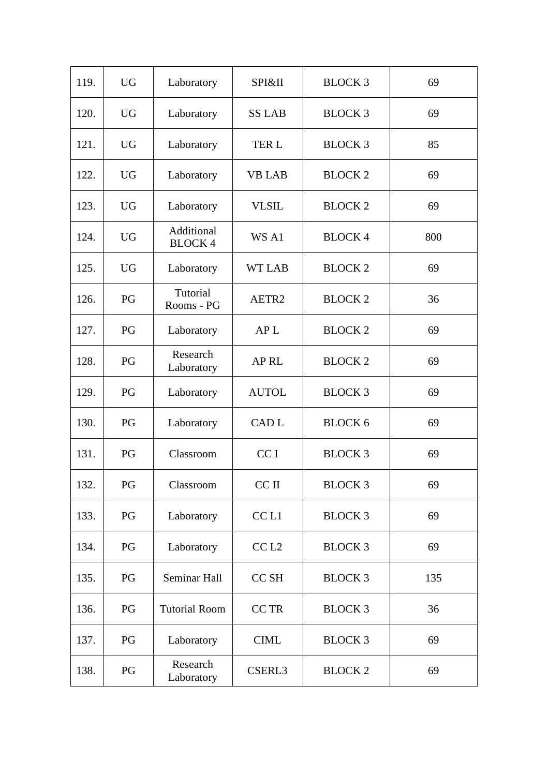| 119. | <b>UG</b> | Laboratory                   | SPI&II           | <b>BLOCK 3</b> | 69  |
|------|-----------|------------------------------|------------------|----------------|-----|
| 120. | <b>UG</b> | Laboratory                   | <b>SS LAB</b>    | <b>BLOCK 3</b> | 69  |
| 121. | <b>UG</b> | Laboratory                   | TER L            | <b>BLOCK 3</b> | 85  |
| 122. | <b>UG</b> | Laboratory                   | <b>VB LAB</b>    | <b>BLOCK 2</b> | 69  |
| 123. | <b>UG</b> | Laboratory                   | <b>VLSIL</b>     | <b>BLOCK 2</b> | 69  |
| 124. | <b>UG</b> | Additional<br><b>BLOCK 4</b> | WS A1            | <b>BLOCK4</b>  | 800 |
| 125. | <b>UG</b> | Laboratory                   | <b>WT LAB</b>    | <b>BLOCK 2</b> | 69  |
| 126. | PG        | Tutorial<br>Rooms - PG       | AETR2            | <b>BLOCK 2</b> | 36  |
| 127. | PG        | Laboratory                   | AP <sub>L</sub>  | <b>BLOCK 2</b> | 69  |
| 128. | PG        | Research<br>Laboratory       | <b>APRL</b>      | <b>BLOCK 2</b> | 69  |
| 129. | PG        | Laboratory                   | <b>AUTOL</b>     | <b>BLOCK 3</b> | 69  |
| 130. | PG        | Laboratory                   | CAD <sub>L</sub> | <b>BLOCK 6</b> | 69  |
| 131. | PG        | Classroom                    | CC I             | <b>BLOCK 3</b> | 69  |
| 132. | PG        | Classroom                    | CC II            | <b>BLOCK 3</b> | 69  |
| 133. | PG        | Laboratory                   | CC <sub>L1</sub> | <b>BLOCK 3</b> | 69  |
| 134. | PG        | Laboratory                   | CC <sub>L2</sub> | <b>BLOCK 3</b> | 69  |
| 135. | PG        | Seminar Hall                 | CC SH            | <b>BLOCK 3</b> | 135 |
| 136. | PG        | <b>Tutorial Room</b>         | <b>CC TR</b>     | <b>BLOCK 3</b> | 36  |
| 137. | PG        | Laboratory                   | <b>CIML</b>      | <b>BLOCK 3</b> | 69  |
| 138. | PG        | Research<br>Laboratory       | CSERL3           | <b>BLOCK 2</b> | 69  |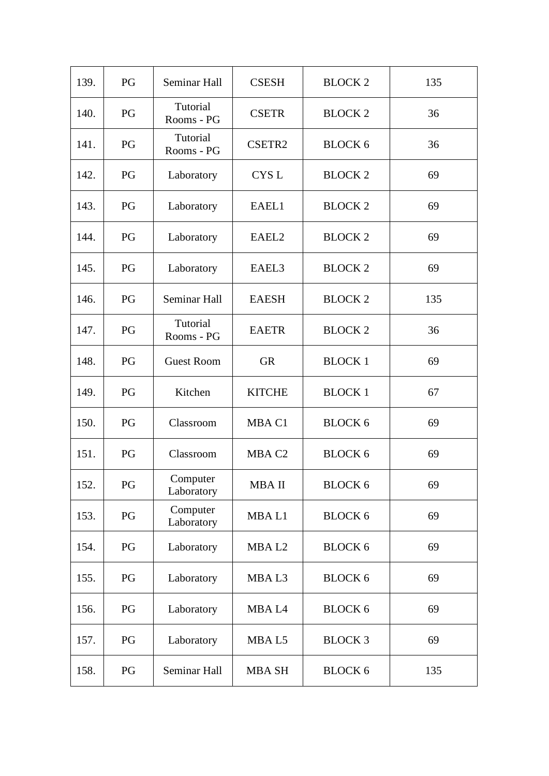| 139. | PG | Seminar Hall           | <b>CSESH</b>      | <b>BLOCK 2</b> | 135 |
|------|----|------------------------|-------------------|----------------|-----|
| 140. | PG | Tutorial<br>Rooms - PG | <b>CSETR</b>      | <b>BLOCK 2</b> | 36  |
| 141. | PG | Tutorial<br>Rooms - PG | CSETR2            | <b>BLOCK 6</b> | 36  |
| 142. | PG | Laboratory             | CYS <sub>L</sub>  | <b>BLOCK 2</b> | 69  |
| 143. | PG | Laboratory             | EAEL1             | <b>BLOCK 2</b> | 69  |
| 144. | PG | Laboratory             | EAEL2             | <b>BLOCK 2</b> | 69  |
| 145. | PG | Laboratory             | EAEL3             | <b>BLOCK 2</b> | 69  |
| 146. | PG | Seminar Hall           | <b>EAESH</b>      | <b>BLOCK 2</b> | 135 |
| 147. | PG | Tutorial<br>Rooms - PG | <b>EAETR</b>      | <b>BLOCK 2</b> | 36  |
| 148. | PG | <b>Guest Room</b>      | <b>GR</b>         | <b>BLOCK 1</b> | 69  |
| 149. | PG | Kitchen                | <b>KITCHE</b>     | <b>BLOCK 1</b> | 67  |
| 150. | PG | Classroom              | MBA C1            | <b>BLOCK 6</b> | 69  |
| 151. | PG | Classroom              | MBA <sub>C2</sub> | <b>BLOCK 6</b> | 69  |
| 152. | PG | Computer<br>Laboratory | MBA II            | <b>BLOCK 6</b> | 69  |
| 153. | PG | Computer<br>Laboratory | MBAL1             | <b>BLOCK 6</b> | 69  |
| 154. | PG | Laboratory             | MBA <sub>L2</sub> | <b>BLOCK 6</b> | 69  |
| 155. | PG | Laboratory             | MBA L3            | <b>BLOCK 6</b> | 69  |
| 156. | PG | Laboratory             | MBA <sub>L4</sub> | <b>BLOCK 6</b> | 69  |
| 157. | PG | Laboratory             | MBA <sub>L5</sub> | <b>BLOCK 3</b> | 69  |
| 158. | PG | Seminar Hall           | <b>MBA SH</b>     | <b>BLOCK 6</b> | 135 |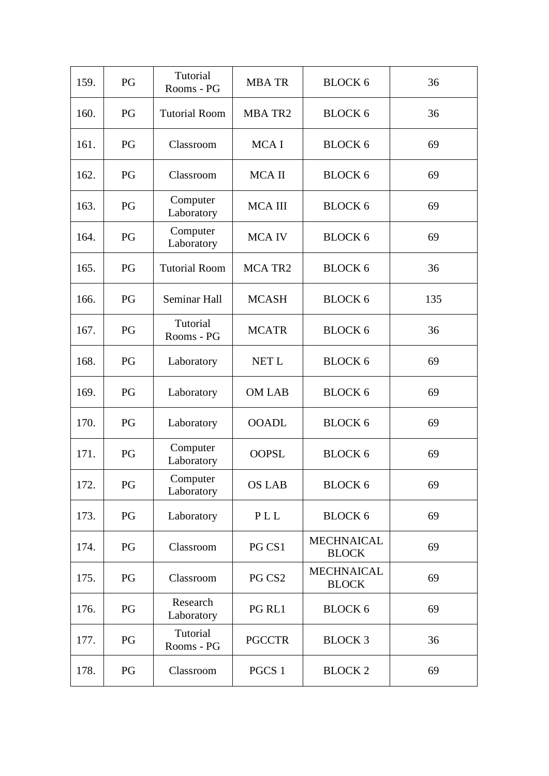| 159. | PG | Tutorial<br>Rooms - PG | <b>MBA TR</b>       | <b>BLOCK 6</b>                    | 36  |
|------|----|------------------------|---------------------|-----------------------------------|-----|
| 160. | PG | <b>Tutorial Room</b>   | <b>MBA TR2</b>      | <b>BLOCK 6</b>                    | 36  |
| 161. | PG | Classroom              | MCA <sub>I</sub>    | <b>BLOCK 6</b>                    | 69  |
| 162. | PG | Classroom              | MCA II              | <b>BLOCK 6</b>                    | 69  |
| 163. | PG | Computer<br>Laboratory | MCA III             | <b>BLOCK 6</b>                    | 69  |
| 164. | PG | Computer<br>Laboratory | <b>MCA IV</b>       | <b>BLOCK 6</b>                    | 69  |
| 165. | PG | <b>Tutorial Room</b>   | MCA TR <sub>2</sub> | <b>BLOCK 6</b>                    | 36  |
| 166. | PG | Seminar Hall           | <b>MCASH</b>        | <b>BLOCK 6</b>                    | 135 |
| 167. | PG | Tutorial<br>Rooms - PG | <b>MCATR</b>        | <b>BLOCK 6</b>                    | 36  |
| 168. | PG | Laboratory             | NET L               | <b>BLOCK 6</b>                    | 69  |
| 169. | PG | Laboratory             | <b>OM LAB</b>       | <b>BLOCK 6</b>                    | 69  |
| 170. | PG | Laboratory             | <b>OOADL</b>        | <b>BLOCK 6</b>                    | 69  |
| 171. | PG | Computer<br>Laboratory | <b>OOPSL</b>        | <b>BLOCK 6</b>                    | 69  |
| 172. | PG | Computer<br>Laboratory | <b>OS LAB</b>       | <b>BLOCK 6</b>                    | 69  |
| 173. | PG | Laboratory             | PLL                 | <b>BLOCK 6</b>                    | 69  |
| 174. | PG | Classroom              | PG CS1              | <b>MECHNAICAL</b><br><b>BLOCK</b> | 69  |
| 175. | PG | Classroom              | PG CS2              | <b>MECHNAICAL</b><br><b>BLOCK</b> | 69  |
| 176. | PG | Research<br>Laboratory | PG RL1              | <b>BLOCK 6</b>                    | 69  |
| 177. | PG | Tutorial<br>Rooms - PG | <b>PGCCTR</b>       | <b>BLOCK 3</b>                    | 36  |
| 178. | PG | Classroom              | PGCS 1              | <b>BLOCK 2</b>                    | 69  |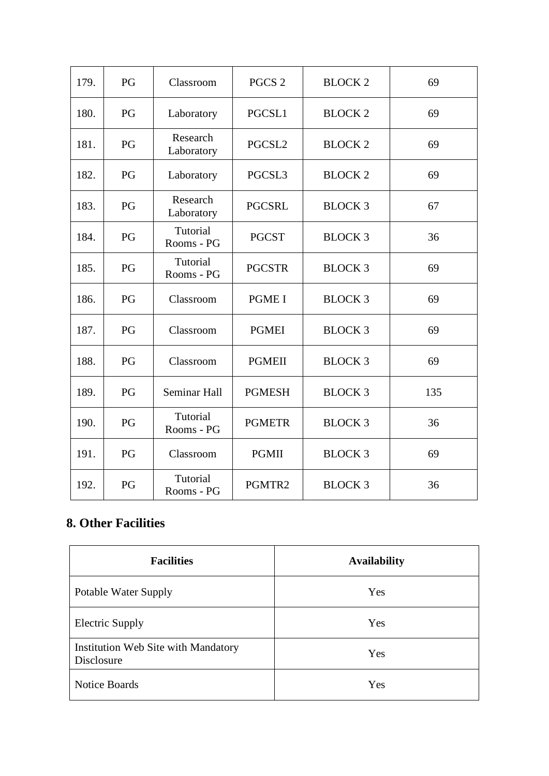| 179. | PG | Classroom              | PGCS <sub>2</sub> | <b>BLOCK 2</b> | 69  |
|------|----|------------------------|-------------------|----------------|-----|
| 180. | PG | Laboratory             | PGCSL1            | <b>BLOCK 2</b> | 69  |
| 181. | PG | Research<br>Laboratory | PGCSL2            | <b>BLOCK 2</b> | 69  |
| 182. | PG | Laboratory             | PGCSL3            | <b>BLOCK 2</b> | 69  |
| 183. | PG | Research<br>Laboratory | <b>PGCSRL</b>     | <b>BLOCK 3</b> | 67  |
| 184. | PG | Tutorial<br>Rooms - PG | <b>PGCST</b>      | <b>BLOCK 3</b> | 36  |
| 185. | PG | Tutorial<br>Rooms - PG | <b>PGCSTR</b>     | <b>BLOCK 3</b> | 69  |
| 186. | PG | Classroom              | <b>PGME I</b>     | <b>BLOCK 3</b> | 69  |
| 187. | PG | Classroom              | <b>PGMEI</b>      | <b>BLOCK 3</b> | 69  |
| 188. | PG | Classroom              | <b>PGMEII</b>     | <b>BLOCK 3</b> | 69  |
| 189. | PG | Seminar Hall           | <b>PGMESH</b>     | <b>BLOCK 3</b> | 135 |
| 190. | PG | Tutorial<br>Rooms - PG | <b>PGMETR</b>     | <b>BLOCK 3</b> | 36  |
| 191. | PG | Classroom              | <b>PGMII</b>      | <b>BLOCK 3</b> | 69  |
| 192. | PG | Tutorial<br>Rooms - PG | PGMTR2            | <b>BLOCK 3</b> | 36  |

### **8. Other Facilities**

| <b>Facilities</b>                                 | <b>Availability</b> |  |
|---------------------------------------------------|---------------------|--|
| <b>Potable Water Supply</b>                       | Yes                 |  |
| <b>Electric Supply</b>                            | Yes                 |  |
| Institution Web Site with Mandatory<br>Disclosure | Yes                 |  |
| Notice Boards                                     | Yes                 |  |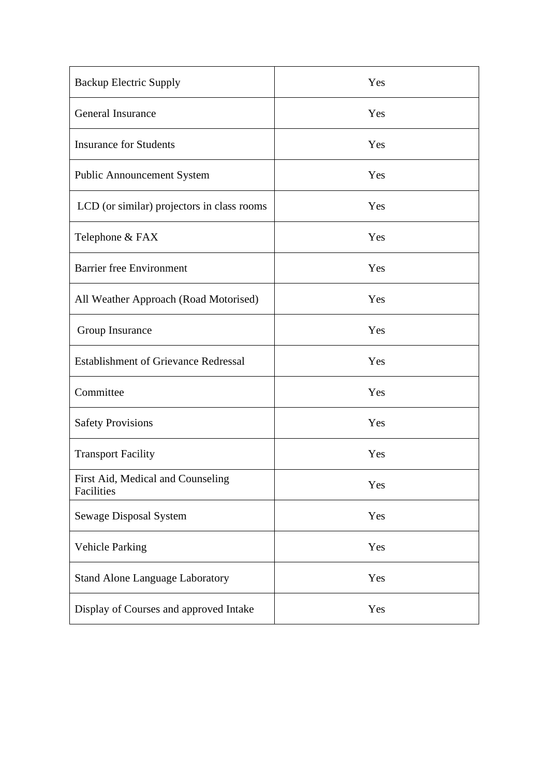| <b>Backup Electric Supply</b>                   | Yes |
|-------------------------------------------------|-----|
| General Insurance                               | Yes |
| <b>Insurance for Students</b>                   | Yes |
| <b>Public Announcement System</b>               | Yes |
| LCD (or similar) projectors in class rooms      | Yes |
| Telephone & FAX                                 | Yes |
| <b>Barrier free Environment</b>                 | Yes |
| All Weather Approach (Road Motorised)           | Yes |
| Group Insurance                                 | Yes |
| <b>Establishment of Grievance Redressal</b>     | Yes |
| Committee                                       | Yes |
| <b>Safety Provisions</b>                        | Yes |
| <b>Transport Facility</b>                       | Yes |
| First Aid, Medical and Counseling<br>Facilities | Yes |
| Sewage Disposal System                          | Yes |
| <b>Vehicle Parking</b>                          | Yes |
| <b>Stand Alone Language Laboratory</b>          | Yes |
| Display of Courses and approved Intake          | Yes |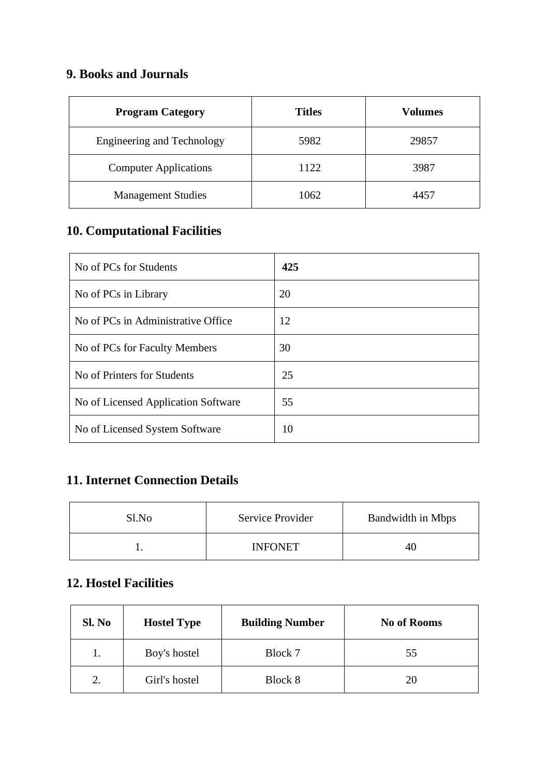#### **9. Books and Journals**

| <b>Program Category</b>           | <b>Titles</b> | <b>Volumes</b> |
|-----------------------------------|---------------|----------------|
| <b>Engineering and Technology</b> | 5982          | 29857          |
| <b>Computer Applications</b>      | 1122          | 3987           |
| <b>Management Studies</b>         | 1062          | 4457           |

## **10. Computational Facilities**

| No of PCs for Students              | 425 |
|-------------------------------------|-----|
| No of PCs in Library                | 20  |
| No of PCs in Administrative Office  | 12  |
| No of PCs for Faculty Members       | 30  |
| No of Printers for Students         | 25  |
| No of Licensed Application Software | 55  |
| No of Licensed System Software      | 10  |

#### **11. Internet Connection Details**

| Sl.No | Service Provider | <b>Bandwidth in Mbps</b> |
|-------|------------------|--------------------------|
|       | <b>INFONET</b>   | 41                       |

#### **12. Hostel Facilities**

| Sl. No | <b>Hostel Type</b> | <b>Building Number</b> | <b>No of Rooms</b> |
|--------|--------------------|------------------------|--------------------|
| 1.     | Boy's hostel       | Block 7                | 55                 |
| 2.     | Girl's hostel      | Block 8                | 20                 |